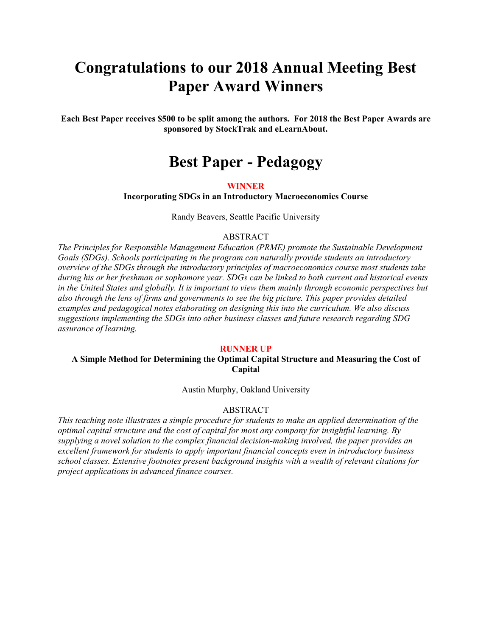# **Congratulations to our 2018 Annual Meeting Best Paper Award Winners**

**Each Best Paper receives \$500 to be split among the authors. For 2018 the Best Paper Awards are sponsored by StockTrak and eLearnAbout.** 

# **Best Paper - Pedagogy**

### **WINNER**

**Incorporating SDGs in an Introductory Macroeconomics Course** 

Randy Beavers, Seattle Pacific University

### ABSTRACT

*The Principles for Responsible Management Education (PRME) promote the Sustainable Development Goals (SDGs). Schools participating in the program can naturally provide students an introductory overview of the SDGs through the introductory principles of macroeconomics course most students take during his or her freshman or sophomore year. SDGs can be linked to both current and historical events in the United States and globally. It is important to view them mainly through economic perspectives but also through the lens of firms and governments to see the big picture. This paper provides detailed examples and pedagogical notes elaborating on designing this into the curriculum. We also discuss suggestions implementing the SDGs into other business classes and future research regarding SDG assurance of learning.* 

### **RUNNER UP**

### **A Simple Method for Determining the Optimal Capital Structure and Measuring the Cost of Capital**

Austin Murphy, Oakland University

### ABSTRACT

*This teaching note illustrates a simple procedure for students to make an applied determination of the optimal capital structure and the cost of capital for most any company for insightful learning. By supplying a novel solution to the complex financial decision-making involved, the paper provides an excellent framework for students to apply important financial concepts even in introductory business school classes. Extensive footnotes present background insights with a wealth of relevant citations for project applications in advanced finance courses.*